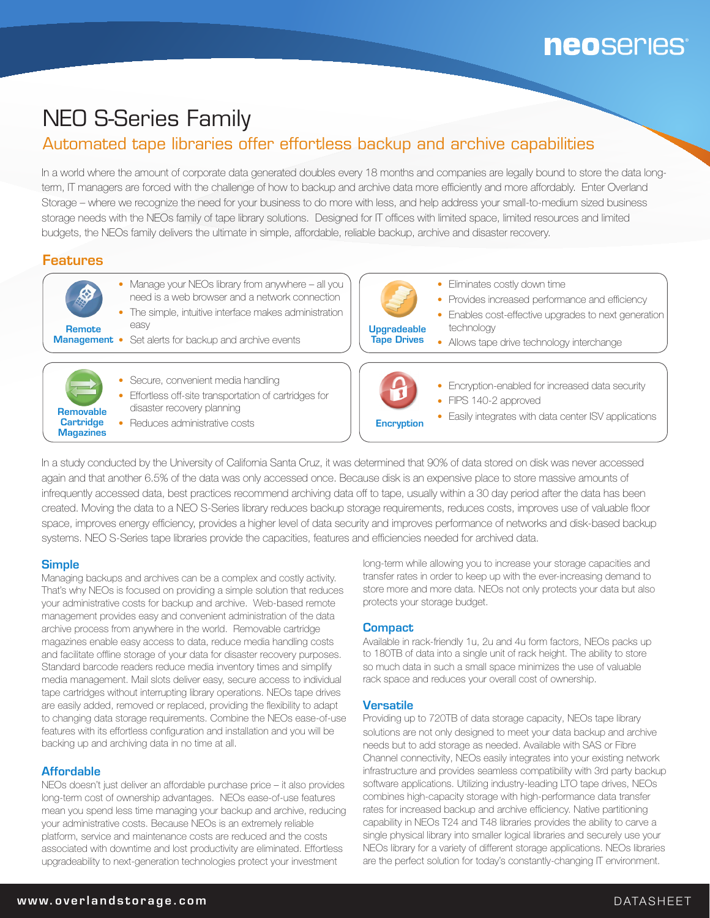# **neoseries**

## NEO S-Series Family

## Automated tape libraries offer effortless backup and archive capabilities

In a world where the amount of corporate data generated doubles every 18 months and companies are legally bound to store the data longterm, IT managers are forced with the challenge of how to backup and archive data more efficiently and more affordably. Enter Overland Storage – where we recognize the need for your business to do more with less, and help address your small-to-medium sized business storage needs with the NEOs family of tape library solutions. Designed for IT offices with limited space, limited resources and limited budgets, the NEOs family delivers the ultimate in simple, affordable, reliable backup, archive and disaster recovery.

### Features

- Manage your NEOs library from anywhere all you need is a web browser and a network connection • The simple, intuitive interface makes administration easy
- **Management** Set alerts for backup and archive events Remote



- Secure, convenient media handling • Effortless off-site transportation of cartridges for
- disaster recovery planning
- Reduces administrative costs



- Eliminates costly down time
- Provides increased performance and efficiency
- Enables cost-effective upgrades to next generation technology
- Allows tape drive technology interchange



- Encryption-enabled for increased data security • FIPS 140-2 approved
- **Encryption** Easily integrates with data center ISV applications

In a study conducted by the University of California Santa Cruz, it was determined that 90% of data stored on disk was never accessed again and that another 6.5% of the data was only accessed once. Because disk is an expensive place to store massive amounts of infrequently accessed data, best practices recommend archiving data off to tape, usually within a 30 day period after the data has been created. Moving the data to a NEO S-Series library reduces backup storage requirements, reduces costs, improves use of valuable floor space, improves energy efficiency, provides a higher level of data security and improves performance of networks and disk-based backup systems. NEO S-Series tape libraries provide the capacities, features and efficiencies needed for archived data.

#### **Simple**

Managing backups and archives can be a complex and costly activity. That's why NEOs is focused on providing a simple solution that reduces your administrative costs for backup and archive. Web-based remote management provides easy and convenient administration of the data archive process from anywhere in the world. Removable cartridge magazines enable easy access to data, reduce media handling costs and facilitate offline storage of your data for disaster recovery purposes. Standard barcode readers reduce media inventory times and simplify media management. Mail slots deliver easy, secure access to individual tape cartridges without interrupting library operations. NEOs tape drives are easily added, removed or replaced, providing the flexibility to adapt to changing data storage requirements. Combine the NEOs ease-of-use features with its effortless configuration and installation and you will be backing up and archiving data in no time at all.

#### **Affordable**

NEOs doesn't just deliver an affordable purchase price – it also provides long-term cost of ownership advantages. NEOs ease-of-use features mean you spend less time managing your backup and archive, reducing your administrative costs. Because NEOs is an extremely reliable platform, service and maintenance costs are reduced and the costs associated with downtime and lost productivity are eliminated. Effortless upgradeability to next-generation technologies protect your investment

long-term while allowing you to increase your storage capacities and transfer rates in order to keep up with the ever-increasing demand to store more and more data. NEOs not only protects your data but also protects your storage budget.

#### **Compact**

Available in rack-friendly 1u, 2u and 4u form factors, NEOs packs up to 180TB of data into a single unit of rack height. The ability to store so much data in such a small space minimizes the use of valuable rack space and reduces your overall cost of ownership.

#### Versatile

Providing up to 720TB of data storage capacity, NEOs tape library solutions are not only designed to meet your data backup and archive needs but to add storage as needed. Available with SAS or Fibre Channel connectivity, NEOs easily integrates into your existing network infrastructure and provides seamless compatibility with 3rd party backup software applications. Utilizing industry-leading LTO tape drives, NEOs combines high-capacity storage with high-performance data transfer rates for increased backup and archive efficiency. Native partitioning capability in NEOs T24 and T48 libraries provides the ability to carve a single physical library into smaller logical libraries and securely use your NEOs library for a variety of different storage applications. NEOs libraries are the perfect solution for today's constantly-changing IT environment.